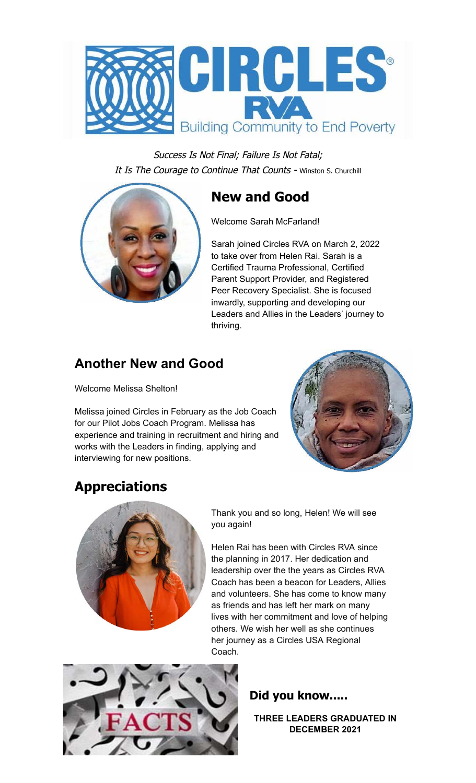

Success Is Not Final; Failure Is Not Fatal; It Is The Courage to Continue That Counts - Winston S. Churchill

## **New and Good**



Sarah joined Circles RVA on March 2, 2022 to take over from Helen Rai. Sarah is a Certified Trauma Professional, Certified Parent Support Provider, and Registered Peer Recovery Specialist. She is focused inwardly, supporting and developing our Leaders and Allies in the Leaders' journey to thriving.

### **Another New and Good**

Welcome Melissa Shelton!

Melissa joined Circles in February as the Job Coach for our Pilot Jobs Coach Program. Melissa has experience and training in recruitment and hiring and works with the Leaders in finding, applying and interviewing for new positions.



# **Appreciations**



Thank you and so long, Helen! We will see you again!

Helen Rai has been with Circles RVA since the planning in 2017. Her dedication and leadership over the the years as Circles RVA Coach has been a beacon for Leaders, Allies and volunteers. She has come to know many as friends and has left her mark on many lives with her commitment and love of helping others. We wish her well as she continues her journey as a Circles USA Regional Coach.



**Did you know.....**

**THREE LEADERS GRADUATED IN DECEMBER 2021**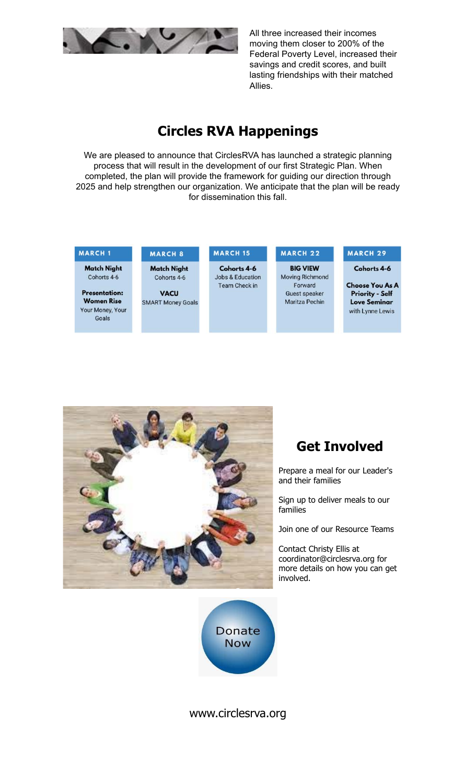

All three increased their incomes moving them closer to 200% of the Federal Poverty Level, increased their savings and credit scores, and built lasting friendships with their matched Allies.

#### **Circles RVA Happenings**

We are pleased to announce that CirclesRVA has launched a strategic planning process that will result in the development of our first Strategic Plan. When completed, the plan will provide the framework for guiding our direction through 2025 and help strengthen our organization. We anticipate that the plan will be ready for dissemination this fall.

#### **MARCH 1**

**Match Night** Cohorts 4-6

**Presentation: Women Rise** Your Money, Your Goals

### MARCH<sub>8</sub>

**Match Night** Cohorts 4-6

**VACU SMART Money Goals** 

Cohorts 4-6 **Jobs & Education** Team Check in

**MARCH 15** 

#### **MARCH 22 BIG VIEW** Moving Richmond Forward Guest speaker Maritza Pechin

#### MARCH 29

Cohorts 4-6

**Choose You As A Priority - Self Love Seminar** with Lynne Lewis



## **Get Involved**

Prepare a meal for our Leader's and their families

Sign up to deliver meals to our families

Join one of our Resource Teams

Contact Christy Ellis at coordinator@circlesrva.org for more details on how you can get involved.



#### www.circlesrva.org